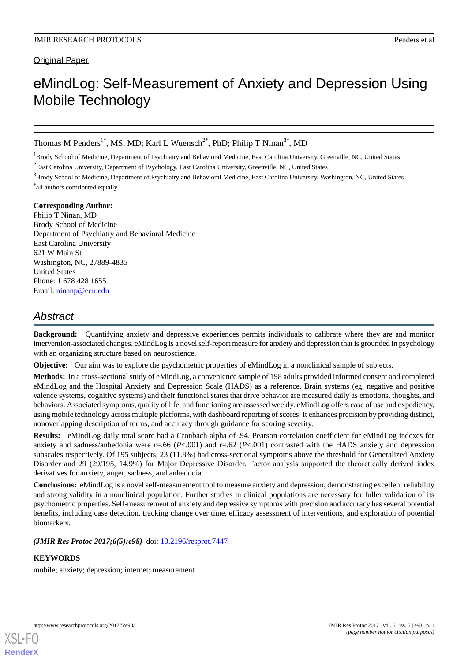Original Paper

# eMindLog: Self-Measurement of Anxiety and Depression Using Mobile Technology

Thomas M Penders<sup>1\*</sup>, MS, MD; Karl L Wuensch<sup>2\*</sup>, PhD; Philip T Ninan<sup>3\*</sup>, MD

<sup>1</sup>Brody School of Medicine, Department of Psychiatry and Behavioral Medicine, East Carolina University, Greenville, NC, United States <sup>2</sup>East Carolina University, Department of Psychology, East Carolina University, Greenville, NC, United States

<sup>3</sup>Brody School of Medicine, Department of Psychiatry and Behavioral Medicine, East Carolina University, Washington, NC, United States \* all authors contributed equally

#### **Corresponding Author:**

Philip T Ninan, MD Brody School of Medicine Department of Psychiatry and Behavioral Medicine East Carolina University 621 W Main St Washington, NC, 27889-4835 United States Phone: 1 678 428 1655 Email: [ninanp@ecu.edu](mailto:ninanp@ecu.edu)

## *Abstract*

**Background:** Quantifying anxiety and depressive experiences permits individuals to calibrate where they are and monitor intervention-associated changes. eMindLog is a novel self-report measure for anxiety and depression that is grounded in psychology with an organizing structure based on neuroscience.

**Objective:** Our aim was to explore the psychometric properties of eMindLog in a nonclinical sample of subjects.

**Methods:** In a cross-sectional study of eMindLog, a convenience sample of 198 adults provided informed consent and completed eMindLog and the Hospital Anxiety and Depression Scale (HADS) as a reference. Brain systems (eg, negative and positive valence systems, cognitive systems) and their functional states that drive behavior are measured daily as emotions, thoughts, and behaviors. Associated symptoms, quality of life, and functioning are assessed weekly. eMindLog offers ease of use and expediency, using mobile technology across multiple platforms, with dashboard reporting of scores. It enhances precision by providing distinct, nonoverlapping description of terms, and accuracy through guidance for scoring severity.

**Results:** eMindLog daily total score had a Cronbach alpha of .94. Pearson correlation coefficient for eMindLog indexes for anxiety and sadness/anhedonia were r=.66 (*P*<.001) and r=.62 (*P*<.001) contrasted with the HADS anxiety and depression subscales respectively. Of 195 subjects, 23 (11.8%) had cross-sectional symptoms above the threshold for Generalized Anxiety Disorder and 29 (29/195, 14.9%) for Major Depressive Disorder. Factor analysis supported the theoretically derived index derivatives for anxiety, anger, sadness, and anhedonia.

**Conclusions:** eMindLog is a novel self-measurement tool to measure anxiety and depression, demonstrating excellent reliability and strong validity in a nonclinical population. Further studies in clinical populations are necessary for fuller validation of its psychometric properties. Self-measurement of anxiety and depressive symptoms with precision and accuracy has several potential benefits, including case detection, tracking change over time, efficacy assessment of interventions, and exploration of potential biomarkers.

(JMIR Res Protoc 2017;6(5):e98) doi: [10.2196/resprot.7447](http://dx.doi.org/10.2196/resprot.7447)

#### **KEYWORDS**

mobile; anxiety; depression; internet; measurement

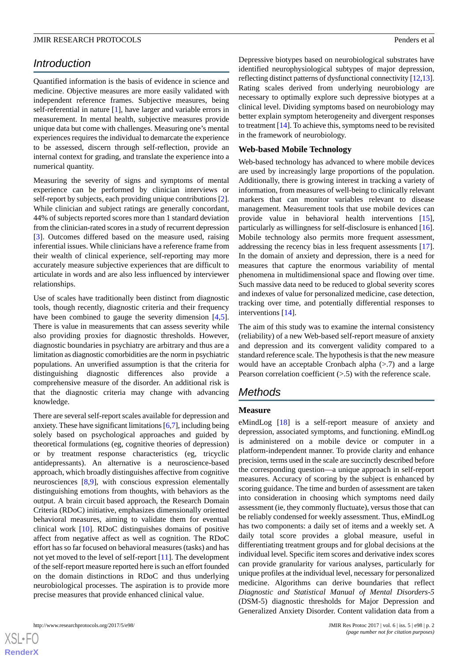## *Introduction*

Quantified information is the basis of evidence in science and medicine. Objective measures are more easily validated with independent reference frames. Subjective measures, being self-referential in nature [[1](#page-8-0)], have larger and variable errors in measurement. In mental health, subjective measures provide unique data but come with challenges. Measuring one's mental experiences requires the individual to demarcate the experience to be assessed, discern through self-reflection, provide an internal context for grading, and translate the experience into a numerical quantity.

Measuring the severity of signs and symptoms of mental experience can be performed by clinician interviews or self-report by subjects, each providing unique contributions [[2\]](#page-8-1). While clinician and subject ratings are generally concordant, 44% of subjects reported scores more than 1 standard deviation from the clinician-rated scores in a study of recurrent depression [[3\]](#page-8-2). Outcomes differed based on the measure used, raising inferential issues. While clinicians have a reference frame from their wealth of clinical experience, self-reporting may more accurately measure subjective experiences that are difficult to articulate in words and are also less influenced by interviewer relationships.

Use of scales have traditionally been distinct from diagnostic tools, though recently, diagnostic criteria and their frequency have been combined to gauge the severity dimension [\[4](#page-8-3),[5\]](#page-8-4). There is value in measurements that can assess severity while also providing proxies for diagnostic thresholds. However, diagnostic boundaries in psychiatry are arbitrary and thus are a limitation as diagnostic comorbidities are the norm in psychiatric populations. An unverified assumption is that the criteria for distinguishing diagnostic differences also provide a comprehensive measure of the disorder. An additional risk is that the diagnostic criteria may change with advancing knowledge.

There are several self-report scales available for depression and anxiety. These have significant limitations [[6](#page-8-5)[,7](#page-9-0)], including being solely based on psychological approaches and guided by theoretical formulations (eg, cognitive theories of depression) or by treatment response characteristics (eg, tricyclic antidepressants). An alternative is a neuroscience-based approach, which broadly distinguishes affective from cognitive neurosciences [[8](#page-9-1)[,9](#page-9-2)], with conscious expression elementally distinguishing emotions from thoughts, with behaviors as the output. A brain circuit based approach, the Research Domain Criteria (RDoC) initiative, emphasizes dimensionally oriented behavioral measures, aiming to validate them for eventual clinical work [[10\]](#page-9-3). RDoC distinguishes domains of positive affect from negative affect as well as cognition. The RDoC effort has so far focused on behavioral measures (tasks) and has not yet moved to the level of self-report [[11\]](#page-9-4). The development of the self-report measure reported here is such an effort founded on the domain distinctions in RDoC and thus underlying neurobiological processes. The aspiration is to provide more precise measures that provide enhanced clinical value.

 $XSI - F($ **[RenderX](http://www.renderx.com/)** Depressive biotypes based on neurobiological substrates have identified neurophysiological subtypes of major depression, reflecting distinct patterns of dysfunctional connectivity [\[12](#page-9-5)[,13](#page-9-6)]. Rating scales derived from underlying neurobiology are necessary to optimally explore such depressive biotypes at a clinical level. Dividing symptoms based on neurobiology may better explain symptom heterogeneity and divergent responses to treatment [[14](#page-9-7)]. To achieve this, symptoms need to be revisited in the framework of neurobiology.

#### **Web-based Mobile Technology**

Web-based technology has advanced to where mobile devices are used by increasingly large proportions of the population. Additionally, there is growing interest in tracking a variety of information, from measures of well-being to clinically relevant markers that can monitor variables relevant to disease management. Measurement tools that use mobile devices can provide value in behavioral health interventions [[15\]](#page-9-8), particularly as willingness for self-disclosure is enhanced [[16\]](#page-9-9). Mobile technology also permits more frequent assessment, addressing the recency bias in less frequent assessments [[17\]](#page-9-10). In the domain of anxiety and depression, there is a need for measures that capture the enormous variability of mental phenomena in multidimensional space and flowing over time. Such massive data need to be reduced to global severity scores and indexes of value for personalized medicine, case detection, tracking over time, and potentially differential responses to interventions [[14\]](#page-9-7).

The aim of this study was to examine the internal consistency (reliability) of a new Web-based self-report measure of anxiety and depression and its convergent validity compared to a standard reference scale. The hypothesis is that the new measure would have an acceptable Cronbach alpha  $(> 7)$  and a large Pearson correlation coefficient (>.5) with the reference scale.

## *Methods*

#### **Measure**

eMindLog [[18\]](#page-9-11) is a self-report measure of anxiety and depression, associated symptoms, and functioning. eMindLog is administered on a mobile device or computer in a platform-independent manner. To provide clarity and enhance precision, terms used in the scale are succinctly described before the corresponding question—a unique approach in self-report measures. Accuracy of scoring by the subject is enhanced by scoring guidance. The time and burden of assessment are taken into consideration in choosing which symptoms need daily assessment (ie, they commonly fluctuate), versus those that can be reliably condensed for weekly assessment. Thus, eMindLog has two components: a daily set of items and a weekly set. A daily total score provides a global measure, useful in differentiating treatment groups and for global decisions at the individual level. Specific item scores and derivative index scores can provide granularity for various analyses, particularly for unique profiles at the individual level, necessary for personalized medicine. Algorithms can derive boundaries that reflect *Diagnostic and Statistical Manual of Mental Disorders-5* (DSM-5) diagnostic thresholds for Major Depression and Generalized Anxiety Disorder. Content validation data from a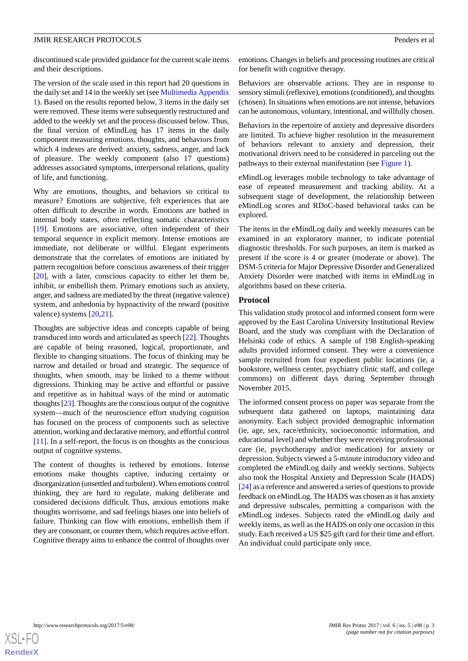discontinued scale provided guidance for the current scale items and their descriptions.

The version of the scale used in this report had 20 questions in the daily set and 14 in the weekly set (see [Multimedia Appendix](#page-8-6) [1\)](#page-8-6). Based on the results reported below, 3 items in the daily set were removed. These items were subsequently restructured and added to the weekly set and the process discussed below. Thus, the final version of eMindLog has 17 items in the daily component measuring emotions, thoughts, and behaviors from which 4 indexes are derived: anxiety, sadness, anger, and lack of pleasure. The weekly component (also 17 questions) addresses associated symptoms, interpersonal relations, quality of life, and functioning.

Why are emotions, thoughts, and behaviors so critical to measure? Emotions are subjective, felt experiences that are often difficult to describe in words. Emotions are bathed in internal body states, often reflecting somatic characteristics [[19\]](#page-9-12). Emotions are associative, often independent of their temporal sequence in explicit memory. Intense emotions are immediate, not deliberate or willful. Elegant experiments demonstrate that the correlates of emotions are initiated by pattern recognition before conscious awareness of their trigger [[20\]](#page-9-13), with a later, conscious capacity to either let them be, inhibit, or embellish them. Primary emotions such as anxiety, anger, and sadness are mediated by the threat (negative valence) system, and anhedonia by hypoactivity of the reward (positive valence) systems [\[20](#page-9-13),[21\]](#page-9-14).

Thoughts are subjective ideas and concepts capable of being transduced into words and articulated as speech [[22\]](#page-9-15). Thoughts are capable of being reasoned, logical, proportionate, and flexible to changing situations. The focus of thinking may be narrow and detailed or broad and strategic. The sequence of thoughts, when smooth, may be linked to a theme without digressions. Thinking may be active and effortful or passive and repetitive as in habitual ways of the mind or automatic thoughts [\[23\]](#page-9-16). Thoughts are the conscious output of the cognitive system—much of the neuroscience effort studying cognition has focused on the process of components such as selective attention, working and declarative memory, and effortful control [[11\]](#page-9-4). In a self-report, the focus is on thoughts as the conscious output of cognitive systems.

The content of thoughts is tethered by emotions. Intense emotions make thoughts captive, inducing certainty or disorganization (unsettled and turbulent). When emotions control thinking, they are hard to regulate, making deliberate and considered decisions difficult. Thus, anxious emotions make thoughts worrisome, and sad feelings biases one into beliefs of failure. Thinking can flow with emotions, embellish them if they are consonant, or counter them, which requires active effort. Cognitive therapy aims to enhance the control of thoughts over

emotions. Changes in beliefs and processing routines are critical for benefit with cognitive therapy.

Behaviors are observable actions. They are in response to sensory stimuli (reflexive), emotions (conditioned), and thoughts (chosen). In situations when emotions are not intense, behaviors can be autonomous, voluntary, intentional, and willfully chosen.

Behaviors in the repertoire of anxiety and depressive disorders are limited. To achieve higher resolution in the measurement of behaviors relevant to anxiety and depression, their motivational drivers need to be considered in parceling out the pathways to their external manifestation (see [Figure 1\)](#page-3-0).

eMindLog leverages mobile technology to take advantage of ease of repeated measurement and tracking ability. At a subsequent stage of development, the relationship between eMindLog scores and RDoC-based behavioral tasks can be explored.

The items in the eMindLog daily and weekly measures can be examined in an exploratory manner, to indicate potential diagnostic thresholds. For such purposes, an item is marked as present if the score is 4 or greater (moderate or above). The DSM-5 criteria for Major Depressive Disorder and Generalized Anxiety Disorder were matched with items in eMindLog in algorithms based on these criteria.

#### **Protocol**

This validation study protocol and informed consent form were approved by the East Carolina University Institutional Review Board, and the study was compliant with the Declaration of Helsinki code of ethics. A sample of 198 English-speaking adults provided informed consent. They were a convenience sample recruited from four expedient public locations (ie, a bookstore, wellness center, psychiatry clinic staff, and college commons) on different days during September through November 2015.

The informed consent process on paper was separate from the subsequent data gathered on laptops, maintaining data anonymity. Each subject provided demographic information (ie, age, sex, race/ethnicity, socioeconomic information, and educational level) and whether they were receiving professional care (ie, psychotherapy and/or medication) for anxiety or depression. Subjects viewed a 5-minute introductory video and completed the eMindLog daily and weekly sections. Subjects also took the Hospital Anxiety and Depression Scale (HADS) [[24\]](#page-9-17) as a reference and answered a series of questions to provide feedback on eMindLog. The HADS was chosen as it has anxiety and depressive subscales, permitting a comparison with the eMindLog indexes. Subjects rated the eMindLog daily and weekly items, as well as the HADS on only one occasion in this study. Each received a US \$25 gift card for their time and effort. An individual could participate only once.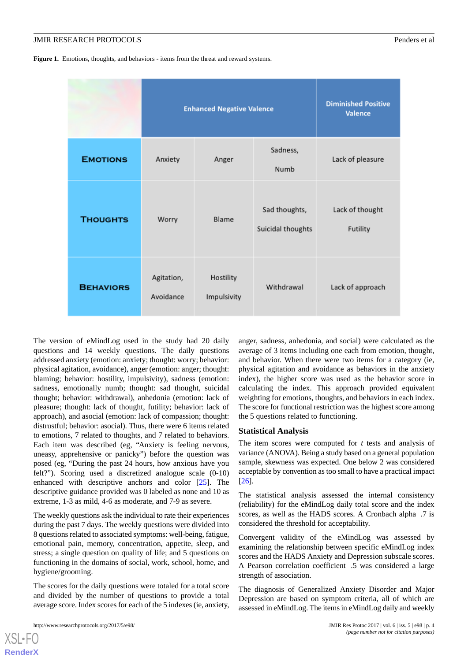<span id="page-3-0"></span>Figure 1. Emotions, thoughts, and behaviors - items from the threat and reward systems.

|                  | <b>Enhanced Negative Valence</b> |                          |                                    | <b>Diminished Positive</b><br><b>Valence</b> |
|------------------|----------------------------------|--------------------------|------------------------------------|----------------------------------------------|
| <b>EMOTIONS</b>  | Anxiety                          | Anger                    | Sadness,<br>Numb                   | Lack of pleasure                             |
| <b>THOUGHTS</b>  | Worry                            | Blame                    | Sad thoughts,<br>Suicidal thoughts | Lack of thought<br>Futility                  |
| <b>BEHAVIORS</b> | Agitation,<br>Avoidance          | Hostility<br>Impulsivity | Withdrawal                         | Lack of approach                             |

The version of eMindLog used in the study had 20 daily questions and 14 weekly questions. The daily questions addressed anxiety (emotion: anxiety; thought: worry; behavior: physical agitation, avoidance), anger (emotion: anger; thought: blaming; behavior: hostility, impulsivity), sadness (emotion: sadness, emotionally numb; thought: sad thought, suicidal thought; behavior: withdrawal), anhedonia (emotion: lack of pleasure; thought: lack of thought, futility; behavior: lack of approach), and asocial (emotion: lack of compassion; thought: distrustful; behavior: asocial). Thus, there were 6 items related to emotions, 7 related to thoughts, and 7 related to behaviors. Each item was described (eg, "Anxiety is feeling nervous, uneasy, apprehensive or panicky") before the question was posed (eg, "During the past 24 hours, how anxious have you felt?"). Scoring used a discretized analogue scale (0-10) enhanced with descriptive anchors and color [\[25](#page-9-18)]. The descriptive guidance provided was 0 labeled as none and 10 as extreme, 1-3 as mild, 4-6 as moderate, and 7-9 as severe.

The weekly questions ask the individual to rate their experiences during the past 7 days. The weekly questions were divided into 8 questions related to associated symptoms: well-being, fatigue, emotional pain, memory, concentration, appetite, sleep, and stress; a single question on quality of life; and 5 questions on functioning in the domains of social, work, school, home, and hygiene/grooming.

The scores for the daily questions were totaled for a total score and divided by the number of questions to provide a total average score. Index scores for each of the 5 indexes (ie, anxiety,

http://www.researchprotocols.org/2017/5/e98/ JMIR Res Protoc 2017 | vol. 6 | iss. 5 | e98 | p. 4

[XSL](http://www.w3.org/Style/XSL)•FO **[RenderX](http://www.renderx.com/)**

anger, sadness, anhedonia, and social) were calculated as the average of 3 items including one each from emotion, thought, and behavior. When there were two items for a category (ie, physical agitation and avoidance as behaviors in the anxiety index), the higher score was used as the behavior score in calculating the index. This approach provided equivalent weighting for emotions, thoughts, and behaviors in each index. The score for functional restriction was the highest score among the 5 questions related to functioning.

#### **Statistical Analysis**

The item scores were computed for *t* tests and analysis of variance (ANOVA). Being a study based on a general population sample, skewness was expected. One below 2 was considered acceptable by convention as too small to have a practical impact [[26\]](#page-9-19).

The statistical analysis assessed the internal consistency (reliability) for the eMindLog daily total score and the index scores, as well as the HADS scores. A Cronbach alpha .7 is considered the threshold for acceptability.

Convergent validity of the eMindLog was assessed by examining the relationship between specific eMindLog index scores and the HADS Anxiety and Depression subscale scores. A Pearson correlation coefficient .5 was considered a large strength of association.

The diagnosis of Generalized Anxiety Disorder and Major Depression are based on symptom criteria, all of which are assessed in eMindLog. The items in eMindLog daily and weekly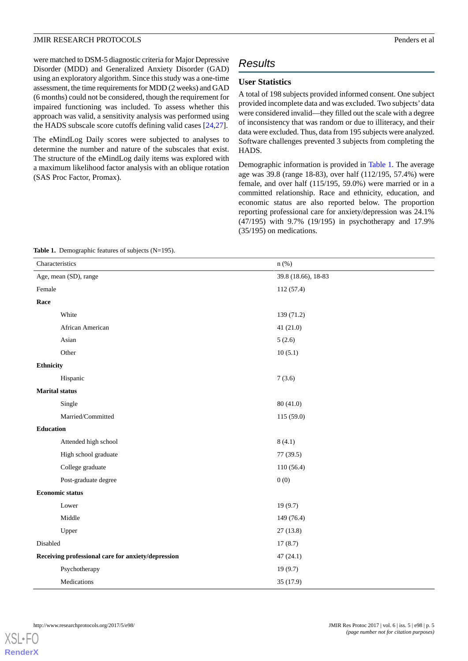were matched to DSM-5 diagnostic criteria for Major Depressive Disorder (MDD) and Generalized Anxiety Disorder (GAD) using an exploratory algorithm. Since this study was a one-time assessment, the time requirements for MDD (2 weeks) and GAD (6 months) could not be considered, though the requirement for impaired functioning was included. To assess whether this approach was valid, a sensitivity analysis was performed using the HADS subscale score cutoffs defining valid cases [[24](#page-9-17)[,27](#page-9-20)].

The eMindLog Daily scores were subjected to analyses to determine the number and nature of the subscales that exist. The structure of the eMindLog daily items was explored with a maximum likelihood factor analysis with an oblique rotation (SAS Proc Factor, Promax).

## *Results*

#### **User Statistics**

A total of 198 subjects provided informed consent. One subject provided incomplete data and was excluded. Two subjects'data were considered invalid—they filled out the scale with a degree of inconsistency that was random or due to illiteracy, and their data were excluded. Thus, data from 195 subjects were analyzed. Software challenges prevented 3 subjects from completing the HADS.

Demographic information is provided in [Table 1](#page-4-0). The average age was 39.8 (range 18-83), over half (112/195, 57.4%) were female, and over half (115/195, 59.0%) were married or in a committed relationship. Race and ethnicity, education, and economic status are also reported below. The proportion reporting professional care for anxiety/depression was 24.1% (47/195) with 9.7% (19/195) in psychotherapy and 17.9% (35/195) on medications.

#### <span id="page-4-0"></span>Table 1. Demographic features of subjects (N=195).

| Characteristics                                    | $n$ (%)             |  |
|----------------------------------------------------|---------------------|--|
| Age, mean (SD), range                              | 39.8 (18.66), 18-83 |  |
| Female                                             | 112 (57.4)          |  |
| Race                                               |                     |  |
| White                                              | 139 (71.2)          |  |
| African American                                   | 41(21.0)            |  |
| Asian                                              | 5(2.6)              |  |
| Other                                              | 10(5.1)             |  |
| Ethnicity                                          |                     |  |
| Hispanic                                           | 7(3.6)              |  |
| <b>Marital</b> status                              |                     |  |
| Single                                             | 80 (41.0)           |  |
| Married/Committed                                  | 115 (59.0)          |  |
| <b>Education</b>                                   |                     |  |
| Attended high school                               | 8(4.1)              |  |
| High school graduate                               | 77 (39.5)           |  |
| College graduate                                   | 110(56.4)           |  |
| Post-graduate degree                               | 0(0)                |  |
| <b>Economic status</b>                             |                     |  |
| Lower                                              | 19(9.7)             |  |
| Middle                                             | 149 (76.4)          |  |
| Upper                                              | 27(13.8)            |  |
| Disabled                                           | 17(8.7)             |  |
| Receiving professional care for anxiety/depression | 47(24.1)            |  |
| Psychotherapy                                      | 19(9.7)             |  |
| Medications                                        | 35 (17.9)           |  |

[XSL](http://www.w3.org/Style/XSL)•FO **[RenderX](http://www.renderx.com/)**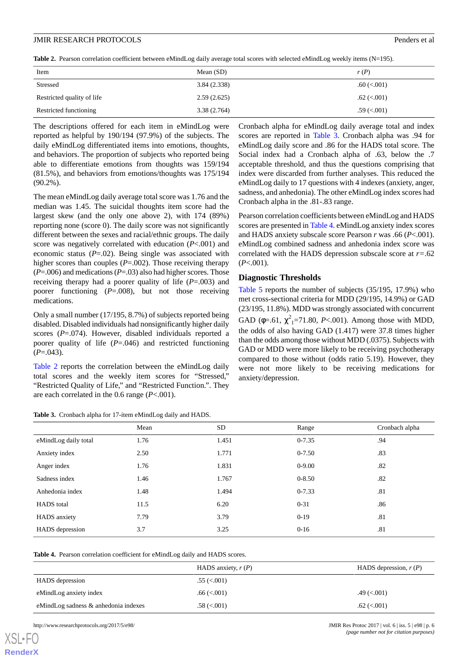<span id="page-5-0"></span>Table 2. Pearson correlation coefficient between eMindLog daily average total scores with selected eMindLog weekly items (N=195).

| Item                       | Mean $(SD)$ | r(P)             |
|----------------------------|-------------|------------------|
| Stressed                   | 3.84(2.338) | $.60 \,(< .001)$ |
| Restricted quality of life | 2.59(2.625) | $.62 \,(< .001)$ |
| Restricted functioning     | 3.38(2.764) | $.59 \times 001$ |

The descriptions offered for each item in eMindLog were reported as helpful by 190/194 (97.9%) of the subjects. The daily eMindLog differentiated items into emotions, thoughts, and behaviors. The proportion of subjects who reported being able to differentiate emotions from thoughts was 159/194 (81.5%), and behaviors from emotions/thoughts was 175/194 (90.2%).

The mean eMindLog daily average total score was 1.76 and the median was 1.45. The suicidal thoughts item score had the largest skew (and the only one above 2), with 174 (89%) reporting none (score 0). The daily score was not significantly different between the sexes and racial/ethnic groups. The daily score was negatively correlated with education (*P*<.001) and economic status (*P*=.02). Being single was associated with higher scores than couples (*P*=.002). Those receiving therapy (*P*=.006) and medications (*P*=.03) also had higher scores. Those receiving therapy had a poorer quality of life (*P*=.003) and poorer functioning (*P*=.008), but not those receiving medications.

Only a small number (17/195, 8.7%) of subjects reported being disabled. Disabled individuals had nonsignificantly higher daily scores (*P*=.074). However, disabled individuals reported a poorer quality of life (*P*=.046) and restricted functioning  $(P=.043)$ .

<span id="page-5-1"></span>[Table 2](#page-5-0) reports the correlation between the eMindLog daily total scores and the weekly item scores for "Stressed," "Restricted Quality of Life," and "Restricted Function.". They are each correlated in the 0.6 range (*P*<.001).

|  | Table 3. Cronbach alpha for 17-item eMindLog daily and HADS. |  |  |  |
|--|--------------------------------------------------------------|--|--|--|
|--|--------------------------------------------------------------|--|--|--|

Cronbach alpha for eMindLog daily average total and index scores are reported in [Table 3.](#page-5-1) Cronbach alpha was .94 for eMindLog daily score and .86 for the HADS total score. The Social index had a Cronbach alpha of .63, below the .7 acceptable threshold, and thus the questions comprising that index were discarded from further analyses. This reduced the eMindLog daily to 17 questions with 4 indexes (anxiety, anger, sadness, and anhedonia). The other eMindLog index scores had Cronbach alpha in the .81-.83 range.

Pearson correlation coefficients between eMindLog and HADS scores are presented in [Table 4.](#page-5-2) eMindLog anxiety index scores and HADS anxiety subscale score Pearson *r* was .66 (*P*<.001). eMindLog combined sadness and anhedonia index score was correlated with the HADS depression subscale score at *r=*.62 (*P*<.001).

#### **Diagnostic Thresholds**

[Table 5](#page-6-0) reports the number of subjects (35/195, 17.9%) who met cross-sectional criteria for MDD (29/195, 14.9%) or GAD (23/195, 11.8%). MDD was strongly associated with concurrent GAD ( $\phi$ =.61,  $\chi^2$ <sub>1</sub>=71.80, *P*<.001). Among those with MDD, the odds of also having GAD (1.417) were 37.8 times higher than the odds among those without MDD (.0375). Subjects with GAD or MDD were more likely to be receiving psychotherapy compared to those without (odds ratio 5.19). However, they were not more likely to be receiving medications for anxiety/depression.

|                      | Mean | SD    | Range      | Cronbach alpha |
|----------------------|------|-------|------------|----------------|
| eMindLog daily total | 1.76 | 1.451 | $0 - 7.35$ | .94            |
| Anxiety index        | 2.50 | 1.771 | $0 - 7.50$ | .83            |
| Anger index          | 1.76 | 1.831 | $0 - 9.00$ | .82            |
| Sadness index        | 1.46 | 1.767 | $0 - 8.50$ | .82            |
| Anhedonia index      | 1.48 | 1.494 | $0 - 7.33$ | .81            |
| <b>HADS</b> total    | 11.5 | 6.20  | $0 - 31$   | .86            |
| HADS anxiety         | 7.79 | 3.79  | $0-19$     | .81            |
| HADS depression      | 3.7  | 3.25  | $0 - 16$   | .81            |

<span id="page-5-2"></span>

| Table 4. Pearson correlation coefficient for eMindLog daily and HADS scores. |  |
|------------------------------------------------------------------------------|--|
|------------------------------------------------------------------------------|--|

|                                      | HADS anxiety, $r(P)$        | HADS depression, $r(P)$ |
|--------------------------------------|-----------------------------|-------------------------|
| HADS depression                      | $.55 \left( < 0.01 \right)$ |                         |
| eMindLog anxiety index               | $.66 \,(< .001)$            | $.49 \,(< .001)$        |
| eMindLog sadness & anhedonia indexes | $.58 \ (< 0.001$            | $.62 \,(< .001)$        |

http://www.researchprotocols.org/2017/5/e98/ JMIR Res Protoc 2017 | vol. 6 | iss. 5 | e98 | p. 6

[XSL](http://www.w3.org/Style/XSL)•FO **[RenderX](http://www.renderx.com/)**

*(page number not for citation purposes)*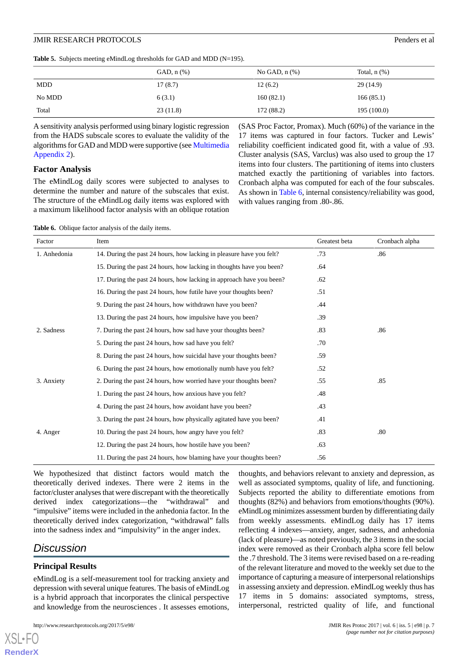#### JMIR RESEARCH PROTOCOLS Penders et al

<span id="page-6-0"></span>

|        | GAD, $n$ $%$ | No GAD, $n$ $(\%)$ | Total, $n$ $(\%)$ |
|--------|--------------|--------------------|-------------------|
| MDD    | 17(8.7)      | 12(6.2)            | 29(14.9)          |
| No MDD | 6(3.1)       | 160(82.1)          | 166(85.1)         |
| Total  | 23(11.8)     | 172 (88.2)         | 195 (100.0)       |

A sensitivity analysis performed using binary logistic regression from the HADS subscale scores to evaluate the validity of the algorithms for GAD and MDD were supportive (see [Multimedia](#page-8-7) [Appendix 2\)](#page-8-7).

#### **Factor Analysis**

The eMindLog daily scores were subjected to analyses to determine the number and nature of the subscales that exist. The structure of the eMindLog daily items was explored with a maximum likelihood factor analysis with an oblique rotation (SAS Proc Factor, Promax). Much (60%) of the variance in the 17 items was captured in four factors. Tucker and Lewis' reliability coefficient indicated good fit, with a value of .93. Cluster analysis (SAS, Varclus) was also used to group the 17 items into four clusters. The partitioning of items into clusters matched exactly the partitioning of variables into factors. Cronbach alpha was computed for each of the four subscales. As shown in [Table 6](#page-6-1), internal consistency/reliability was good, with values ranging from .80-.86.

<span id="page-6-1"></span>Table 6. Oblique factor analysis of the daily items.

| Factor       | Item                                                                 | Greatest beta | Cronbach alpha |
|--------------|----------------------------------------------------------------------|---------------|----------------|
| 1. Anhedonia | 14. During the past 24 hours, how lacking in pleasure have you felt? | .73           | .86            |
|              | 15. During the past 24 hours, how lacking in thoughts have you been? | .64           |                |
|              | 17. During the past 24 hours, how lacking in approach have you been? | .62           |                |
|              | 16. During the past 24 hours, how futile have your thoughts been?    | .51           |                |
|              | 9. During the past 24 hours, how withdrawn have you been?            | .44           |                |
|              | 13. During the past 24 hours, how impulsive have you been?           | .39           |                |
| 2. Sadness   | 7. During the past 24 hours, how sad have your thoughts been?        | .83           | .86            |
|              | 5. During the past 24 hours, how sad have you felt?                  | .70           |                |
|              | 8. During the past 24 hours, how suicidal have your thoughts been?   | .59           |                |
|              | 6. During the past 24 hours, how emotionally numb have you felt?     | .52           |                |
| 3. Anxiety   | 2. During the past 24 hours, how worried have your thoughts been?    | .55           | .85            |
|              | 1. During the past 24 hours, how anxious have you felt?              | .48           |                |
|              | 4. During the past 24 hours, how avoidant have you been?             | .43           |                |
|              | 3. During the past 24 hours, how physically agitated have you been?  | .41           |                |
| 4. Anger     | 10. During the past 24 hours, how angry have you felt?               | .83           | .80            |
|              | 12. During the past 24 hours, how hostile have you been?             | .63           |                |
|              | 11. During the past 24 hours, how blaming have your thoughts been?   | .56           |                |

We hypothesized that distinct factors would match the theoretically derived indexes. There were 2 items in the factor/cluster analyses that were discrepant with the theoretically derived index categorizations—the "withdrawal" and "impulsive" items were included in the anhedonia factor. In the theoretically derived index categorization, "withdrawal" falls into the sadness index and "impulsivity" in the anger index.

## *Discussion*

[XSL](http://www.w3.org/Style/XSL)•FO **[RenderX](http://www.renderx.com/)**

## **Principal Results**

eMindLog is a self-measurement tool for tracking anxiety and depression with several unique features. The basis of eMindLog is a hybrid approach that incorporates the clinical perspective and knowledge from the neurosciences *.* It assesses emotions,

http://www.researchprotocols.org/2017/5/e98/ JMIR Res Protoc 2017 | vol. 6 | iss. 5 | e98 | p. 7

thoughts, and behaviors relevant to anxiety and depression, as well as associated symptoms, quality of life, and functioning. Subjects reported the ability to differentiate emotions from thoughts (82%) and behaviors from emotions/thoughts (90%). eMindLog minimizes assessment burden by differentiating daily from weekly assessments. eMindLog daily has 17 items reflecting 4 indexes—anxiety, anger, sadness, and anhedonia (lack of pleasure)—as noted previously, the 3 items in the social index were removed as their Cronbach alpha score fell below the .7 threshold. The 3 items were revised based on a re-reading of the relevant literature and moved to the weekly set due to the importance of capturing a measure of interpersonal relationships in assessing anxiety and depression. eMindLog weekly thus has 17 items in 5 domains: associated symptoms, stress, interpersonal, restricted quality of life, and functional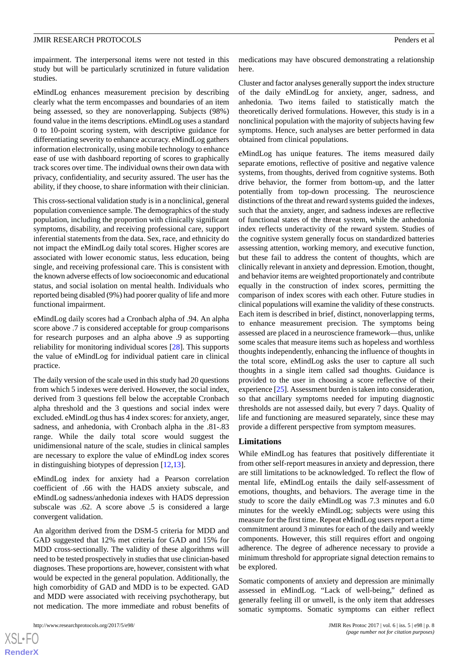impairment. The interpersonal items were not tested in this study but will be particularly scrutinized in future validation studies.

eMindLog enhances measurement precision by describing clearly what the term encompasses and boundaries of an item being assessed, so they are nonoverlapping. Subjects (98%) found value in the items descriptions. eMindLog uses a standard 0 to 10-point scoring system, with descriptive guidance for differentiating severity to enhance accuracy. eMindLog gathers information electronically, using mobile technology to enhance ease of use with dashboard reporting of scores to graphically track scores over time. The individual owns their own data with privacy, confidentiality, and security assured. The user has the ability, if they choose, to share information with their clinician.

This cross-sectional validation study is in a nonclinical, general population convenience sample. The demographics of the study population, including the proportion with clinically significant symptoms, disability, and receiving professional care, support inferential statements from the data. Sex, race, and ethnicity do not impact the eMindLog daily total scores. Higher scores are associated with lower economic status, less education, being single, and receiving professional care. This is consistent with the known adverse effects of low socioeconomic and educational status, and social isolation on mental health. Individuals who reported being disabled (9%) had poorer quality of life and more functional impairment.

eMindLog daily scores had a Cronbach alpha of .94. An alpha score above .7 is considered acceptable for group comparisons for research purposes and an alpha above .9 as supporting reliability for monitoring individual scores [[28\]](#page-9-21). This supports the value of eMindLog for individual patient care in clinical practice.

The daily version of the scale used in this study had 20 questions from which 5 indexes were derived. However, the social index, derived from 3 questions fell below the acceptable Cronbach alpha threshold and the 3 questions and social index were excluded. eMindLog thus has 4 index scores: for anxiety, anger, sadness, and anhedonia, with Cronbach alpha in the .81-.83 range. While the daily total score would suggest the unidimensional nature of the scale, studies in clinical samples are necessary to explore the value of eMindLog index scores in distinguishing biotypes of depression [[12](#page-9-5)[,13](#page-9-6)].

eMindLog index for anxiety had a Pearson correlation coefficient of .66 with the HADS anxiety subscale, and eMindLog sadness/anhedonia indexes with HADS depression subscale was .62. A score above .5 is considered a large convergent validation.

An algorithm derived from the DSM-5 criteria for MDD and GAD suggested that 12% met criteria for GAD and 15% for MDD cross-sectionally. The validity of these algorithms will need to be tested prospectively in studies that use clinician-based diagnoses. These proportions are, however, consistent with what would be expected in the general population. Additionally, the high comorbidity of GAD and MDD is to be expected. GAD and MDD were associated with receiving psychotherapy, but not medication. The more immediate and robust benefits of

medications may have obscured demonstrating a relationship here.

Cluster and factor analyses generally support the index structure of the daily eMindLog for anxiety, anger, sadness, and anhedonia. Two items failed to statistically match the theoretically derived formulations. However, this study is in a nonclinical population with the majority of subjects having few symptoms. Hence, such analyses are better performed in data obtained from clinical populations.

eMindLog has unique features. The items measured daily separate emotions, reflective of positive and negative valence systems, from thoughts, derived from cognitive systems. Both drive behavior, the former from bottom-up, and the latter potentially from top-down processing. The neuroscience distinctions of the threat and reward systems guided the indexes, such that the anxiety, anger, and sadness indexes are reflective of functional states of the threat system, while the anhedonia index reflects underactivity of the reward system. Studies of the cognitive system generally focus on standardized batteries assessing attention, working memory, and executive function, but these fail to address the content of thoughts, which are clinically relevant in anxiety and depression. Emotion, thought, and behavior items are weighted proportionately and contribute equally in the construction of index scores, permitting the comparison of index scores with each other. Future studies in clinical populations will examine the validity of these constructs. Each item is described in brief, distinct, nonoverlapping terms, to enhance measurement precision. The symptoms being assessed are placed in a neuroscience framework—thus, unlike some scales that measure items such as hopeless and worthless thoughts independently, enhancing the influence of thoughts in the total score, eMindLog asks the user to capture all such thoughts in a single item called sad thoughts. Guidance is provided to the user in choosing a score reflective of their experience [[25\]](#page-9-18). Assessment burden is taken into consideration, so that ancillary symptoms needed for imputing diagnostic thresholds are not assessed daily, but every 7 days. Quality of life and functioning are measured separately, since these may provide a different perspective from symptom measures.

#### **Limitations**

While eMindLog has features that positively differentiate it from other self-report measures in anxiety and depression, there are still limitations to be acknowledged. To reflect the flow of mental life, eMindLog entails the daily self-assessment of emotions, thoughts, and behaviors. The average time in the study to score the daily eMindLog was 7.3 minutes and 6.0 minutes for the weekly eMindLog; subjects were using this measure for the first time. Repeat eMindLog users report a time commitment around 3 minutes for each of the daily and weekly components. However, this still requires effort and ongoing adherence. The degree of adherence necessary to provide a minimum threshold for appropriate signal detection remains to be explored.

Somatic components of anxiety and depression are minimally assessed in eMindLog. "Lack of well-being," defined as generally feeling ill or unwell, is the only item that addresses somatic symptoms. Somatic symptoms can either reflect

 $XS$ -FO **[RenderX](http://www.renderx.com/)**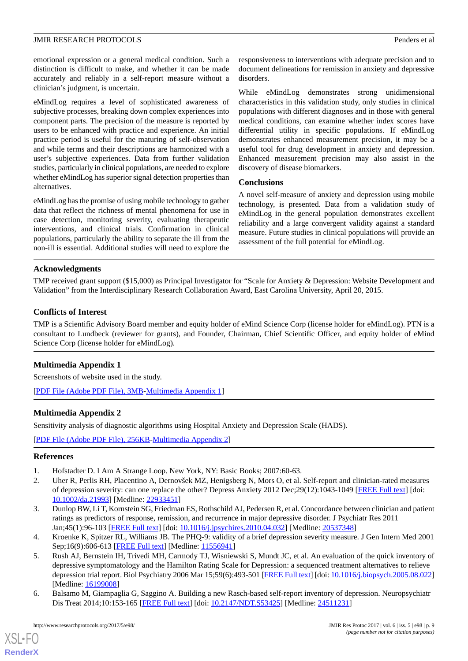emotional expression or a general medical condition. Such a distinction is difficult to make, and whether it can be made accurately and reliably in a self-report measure without a clinician's judgment, is uncertain.

eMindLog requires a level of sophisticated awareness of subjective processes, breaking down complex experiences into component parts. The precision of the measure is reported by users to be enhanced with practice and experience. An initial practice period is useful for the maturing of self-observation and while terms and their descriptions are harmonized with a user's subjective experiences. Data from further validation studies, particularly in clinical populations, are needed to explore whether eMindLog has superior signal detection properties than alternatives.

eMindLog has the promise of using mobile technology to gather data that reflect the richness of mental phenomena for use in case detection, monitoring severity, evaluating therapeutic interventions, and clinical trials. Confirmation in clinical populations, particularly the ability to separate the ill from the non-ill is essential. Additional studies will need to explore the responsiveness to interventions with adequate precision and to document delineations for remission in anxiety and depressive disorders.

While eMindLog demonstrates strong unidimensional characteristics in this validation study, only studies in clinical populations with different diagnoses and in those with general medical conditions, can examine whether index scores have differential utility in specific populations. If eMindLog demonstrates enhanced measurement precision, it may be a useful tool for drug development in anxiety and depression. Enhanced measurement precision may also assist in the discovery of disease biomarkers.

#### **Conclusions**

A novel self-measure of anxiety and depression using mobile technology, is presented. Data from a validation study of eMindLog in the general population demonstrates excellent reliability and a large convergent validity against a standard measure. Future studies in clinical populations will provide an assessment of the full potential for eMindLog.

#### **Acknowledgments**

TMP received grant support (\$15,000) as Principal Investigator for "Scale for Anxiety & Depression: Website Development and Validation" from the Interdisciplinary Research Collaboration Award, East Carolina University, April 20, 2015.

### **Conflicts of Interest**

<span id="page-8-6"></span>TMP is a Scientific Advisory Board member and equity holder of eMind Science Corp (license holder for eMindLog). PTN is a consultant to Lundbeck (reviewer for grants), and Founder, Chairman, Chief Scientific Officer, and equity holder of eMind Science Corp (license holder for eMindLog).

## **Multimedia Appendix 1**

<span id="page-8-7"></span>Screenshots of website used in the study.

[[PDF File \(Adobe PDF File\), 3MB](https://jmir.org/api/download?alt_name=resprot_v6i5e98_app1.pdf&filename=853e9ba7f1844dc9b4f74db64b5425ee.pdf)-[Multimedia Appendix 1\]](https://jmir.org/api/download?alt_name=resprot_v6i5e98_app1.pdf&filename=853e9ba7f1844dc9b4f74db64b5425ee.pdf)

## **Multimedia Appendix 2**

<span id="page-8-0"></span>Sensitivity analysis of diagnostic algorithms using Hospital Anxiety and Depression Scale (HADS).

<span id="page-8-1"></span>[[PDF File \(Adobe PDF File\), 256KB-Multimedia Appendix 2](https://jmir.org/api/download?alt_name=resprot_v6i5e98_app2.pdf&filename=fadb1c6c9111759c69cda3c584a0d46a.pdf)]

#### <span id="page-8-2"></span>**References**

- 1. Hofstadter D. I Am A Strange Loop. New York, NY: Basic Books; 2007:60-63.
- <span id="page-8-3"></span>2. Uher R, Perlis RH, Placentino A, Dernovšek MZ, Henigsberg N, Mors O, et al. Self-report and clinician-rated measures of depression severity: can one replace the other? Depress Anxiety 2012 Dec;29(12):1043-1049 [[FREE Full text\]](http://europepmc.org/abstract/MED/22933451) [doi: [10.1002/da.21993\]](http://dx.doi.org/10.1002/da.21993) [Medline: [22933451](http://www.ncbi.nlm.nih.gov/entrez/query.fcgi?cmd=Retrieve&db=PubMed&list_uids=22933451&dopt=Abstract)]
- <span id="page-8-4"></span>3. Dunlop BW, Li T, Kornstein SG, Friedman ES, Rothschild AJ, Pedersen R, et al. Concordance between clinician and patient ratings as predictors of response, remission, and recurrence in major depressive disorder. J Psychiatr Res 2011 Jan;45(1):96-103 [\[FREE Full text\]](http://europepmc.org/abstract/MED/20537348) [doi: [10.1016/j.jpsychires.2010.04.032](http://dx.doi.org/10.1016/j.jpsychires.2010.04.032)] [Medline: [20537348](http://www.ncbi.nlm.nih.gov/entrez/query.fcgi?cmd=Retrieve&db=PubMed&list_uids=20537348&dopt=Abstract)]
- <span id="page-8-5"></span>4. Kroenke K, Spitzer RL, Williams JB. The PHQ-9: validity of a brief depression severity measure. J Gen Intern Med 2001 Sep;16(9):606-613 [[FREE Full text](http://europepmc.org/abstract/MED/11556941)] [Medline: [11556941](http://www.ncbi.nlm.nih.gov/entrez/query.fcgi?cmd=Retrieve&db=PubMed&list_uids=11556941&dopt=Abstract)]
- 5. Rush AJ, Bernstein IH, Trivedi MH, Carmody TJ, Wisniewski S, Mundt JC, et al. An evaluation of the quick inventory of depressive symptomatology and the Hamilton Rating Scale for Depression: a sequenced treatment alternatives to relieve depression trial report. Biol Psychiatry 2006 Mar 15;59(6):493-501 [\[FREE Full text](http://europepmc.org/abstract/MED/16199008)] [doi: [10.1016/j.biopsych.2005.08.022\]](http://dx.doi.org/10.1016/j.biopsych.2005.08.022) [Medline: [16199008](http://www.ncbi.nlm.nih.gov/entrez/query.fcgi?cmd=Retrieve&db=PubMed&list_uids=16199008&dopt=Abstract)]
- 6. Balsamo M, Giampaglia G, Saggino A. Building a new Rasch-based self-report inventory of depression. Neuropsychiatr Dis Treat 2014;10:153-165 [[FREE Full text](https://dx.doi.org/10.2147/NDT.S53425)] [doi: [10.2147/NDT.S53425\]](http://dx.doi.org/10.2147/NDT.S53425) [Medline: [24511231](http://www.ncbi.nlm.nih.gov/entrez/query.fcgi?cmd=Retrieve&db=PubMed&list_uids=24511231&dopt=Abstract)]

[XSL](http://www.w3.org/Style/XSL)•FO **[RenderX](http://www.renderx.com/)**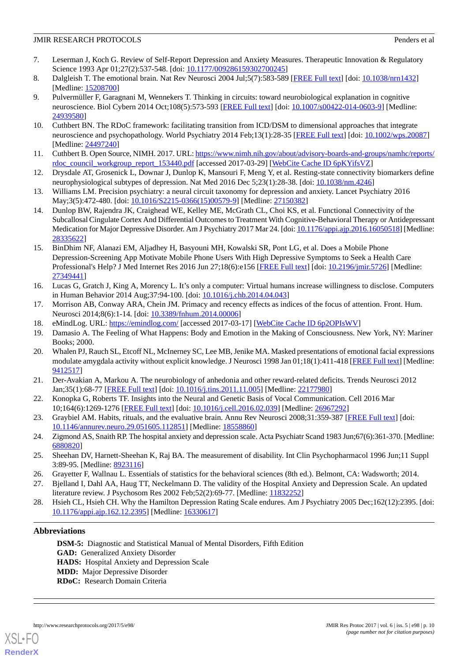- <span id="page-9-0"></span>7. Leserman J, Koch G. Review of Self-Report Depression and Anxiety Measures. Therapeutic Innovation & Regulatory Science 1993 Apr 01;27(2):537-548. [doi: [10.1177/009286159302700245\]](http://dx.doi.org/10.1177/009286159302700245)
- <span id="page-9-2"></span><span id="page-9-1"></span>8. Dalgleish T. The emotional brain. Nat Rev Neurosci 2004 Jul;5(7):583-589 [\[FREE Full text\]](https://doi.org/10.1038/nrn1432) [doi: [10.1038/nrn1432\]](http://dx.doi.org/10.1038/nrn1432) [Medline: [15208700](http://www.ncbi.nlm.nih.gov/entrez/query.fcgi?cmd=Retrieve&db=PubMed&list_uids=15208700&dopt=Abstract)]
- 9. Pulvermüller F, Garagnani M, Wennekers T. Thinking in circuits: toward neurobiological explanation in cognitive neuroscience. Biol Cybern 2014 Oct;108(5):573-593 [[FREE Full text](http://europepmc.org/abstract/MED/24939580)] [doi: [10.1007/s00422-014-0603-9\]](http://dx.doi.org/10.1007/s00422-014-0603-9) [Medline: [24939580](http://www.ncbi.nlm.nih.gov/entrez/query.fcgi?cmd=Retrieve&db=PubMed&list_uids=24939580&dopt=Abstract)]
- <span id="page-9-4"></span><span id="page-9-3"></span>10. Cuthbert BN. The RDoC framework: facilitating transition from ICD/DSM to dimensional approaches that integrate neuroscience and psychopathology. World Psychiatry 2014 Feb;13(1):28-35 [[FREE Full text](http://dx.doi.org/10.1002/wps.20087)] [doi: [10.1002/wps.20087](http://dx.doi.org/10.1002/wps.20087)] [Medline: [24497240](http://www.ncbi.nlm.nih.gov/entrez/query.fcgi?cmd=Retrieve&db=PubMed&list_uids=24497240&dopt=Abstract)]
- <span id="page-9-5"></span>11. Cuthbert B. Open Source, NIMH. 2017. URL: [https://www.nimh.nih.gov/about/advisory-boards-and-groups/namhc/reports/](https://www.nimh.nih.gov/about/advisory-boards-and-groups/namhc/reports/rdoc_council_workgroup_report_153440.pdf) [rdoc\\_council\\_workgroup\\_report\\_153440.pdf](https://www.nimh.nih.gov/about/advisory-boards-and-groups/namhc/reports/rdoc_council_workgroup_report_153440.pdf) [accessed 2017-03-29] [\[WebCite Cache ID 6pKYifsVZ](http://www.webcitation.org/

                                6pKYifsVZ)]
- <span id="page-9-6"></span>12. Drysdale AT, Grosenick L, Downar J, Dunlop K, Mansouri F, Meng Y, et al. Resting-state connectivity biomarkers define neurophysiological subtypes of depression. Nat Med 2016 Dec 5;23(1):28-38. [doi: [10.1038/nm.4246](http://dx.doi.org/10.1038/nm.4246)]
- <span id="page-9-7"></span>13. Williams LM. Precision psychiatry: a neural circuit taxonomy for depression and anxiety. Lancet Psychiatry 2016 May;3(5):472-480. [doi: [10.1016/S2215-0366\(15\)00579-9\]](http://dx.doi.org/10.1016/S2215-0366(15)00579-9) [Medline: [27150382\]](http://www.ncbi.nlm.nih.gov/entrez/query.fcgi?cmd=Retrieve&db=PubMed&list_uids=27150382&dopt=Abstract)
- <span id="page-9-8"></span>14. Dunlop BW, Rajendra JK, Craighead WE, Kelley ME, McGrath CL, Choi KS, et al. Functional Connectivity of the Subcallosal Cingulate Cortex And Differential Outcomes to Treatment With Cognitive-Behavioral Therapy or Antidepressant Medication for Major Depressive Disorder. Am J Psychiatry 2017 Mar 24. [doi: [10.1176/appi.ajp.2016.16050518\]](http://dx.doi.org/10.1176/appi.ajp.2016.16050518) [Medline: [28335622](http://www.ncbi.nlm.nih.gov/entrez/query.fcgi?cmd=Retrieve&db=PubMed&list_uids=28335622&dopt=Abstract)]
- <span id="page-9-9"></span>15. BinDhim NF, Alanazi EM, Aljadhey H, Basyouni MH, Kowalski SR, Pont LG, et al. Does a Mobile Phone Depression-Screening App Motivate Mobile Phone Users With High Depressive Symptoms to Seek a Health Care Professional's Help? J Med Internet Res 2016 Jun 27;18(6):e156 [\[FREE Full text\]](http://doi.org/10.2196/jmir.5726) [doi: [10.2196/jmir.5726\]](http://dx.doi.org/10.2196/jmir.5726) [Medline: [27349441](http://www.ncbi.nlm.nih.gov/entrez/query.fcgi?cmd=Retrieve&db=PubMed&list_uids=27349441&dopt=Abstract)]
- <span id="page-9-11"></span><span id="page-9-10"></span>16. Lucas G, Gratch J, King A, Morency L. It's only a computer: Virtual humans increase willingness to disclose. Computers in Human Behavior 2014 Aug;37:94-100. [doi: [10.1016/j.chb.2014.04.043\]](http://dx.doi.org/10.1016/j.chb.2014.04.043)
- <span id="page-9-12"></span>17. Morrison AB, Conway ARA, Chein JM. Primacy and recency effects as indices of the focus of attention. Front. Hum. Neurosci 2014;8(6):1-14. [doi: [10.3389/fnhum.2014.00006\]](http://dx.doi.org/10.3389/fnhum.2014.00006)
- <span id="page-9-13"></span>18. eMindLog. URL:<https://emindlog.com/> [accessed 2017-03-17] [\[WebCite Cache ID 6p2OPIsWV\]](http://www.webcitation.org/

                                6p2OPIsWV)
- 19. Damasio A. The Feeling of What Happens: Body and Emotion in the Making of Consciousness. New York, NY: Mariner Books; 2000.
- <span id="page-9-15"></span><span id="page-9-14"></span>20. Whalen PJ, Rauch SL, Etcoff NL, McInerney SC, Lee MB, Jenike MA. Masked presentations of emotional facial expressions modulate amygdala activity without explicit knowledge. J Neurosci 1998 Jan 01;18(1):411-418 [\[FREE Full text\]](http://www.jneurosci.org/cgi/pmidlookup?view=long&pmid=9412517) [Medline: [9412517\]](http://www.ncbi.nlm.nih.gov/entrez/query.fcgi?cmd=Retrieve&db=PubMed&list_uids=9412517&dopt=Abstract)
- <span id="page-9-16"></span>21. Der-Avakian A, Markou A. The neurobiology of anhedonia and other reward-related deficits. Trends Neurosci 2012 Jan;35(1):68-77 [\[FREE Full text\]](http://europepmc.org/abstract/MED/22177980) [doi: [10.1016/j.tins.2011.11.005](http://dx.doi.org/10.1016/j.tins.2011.11.005)] [Medline: [22177980](http://www.ncbi.nlm.nih.gov/entrez/query.fcgi?cmd=Retrieve&db=PubMed&list_uids=22177980&dopt=Abstract)]
- <span id="page-9-17"></span>22. Konopka G, Roberts TF. Insights into the Neural and Genetic Basis of Vocal Communication. Cell 2016 Mar 10;164(6):1269-1276 [[FREE Full text](https://doi.org/10.1016/j.cell.2016.02.039)] [doi: [10.1016/j.cell.2016.02.039](http://dx.doi.org/10.1016/j.cell.2016.02.039)] [Medline: [26967292\]](http://www.ncbi.nlm.nih.gov/entrez/query.fcgi?cmd=Retrieve&db=PubMed&list_uids=26967292&dopt=Abstract)
- <span id="page-9-18"></span>23. Graybiel AM. Habits, rituals, and the evaluative brain. Annu Rev Neurosci 2008;31:359-387 [\[FREE Full text\]](https://doi.org/10.1146/annurev.neuro.29.051605.112851) [doi: [10.1146/annurev.neuro.29.051605.112851\]](http://dx.doi.org/10.1146/annurev.neuro.29.051605.112851) [Medline: [18558860\]](http://www.ncbi.nlm.nih.gov/entrez/query.fcgi?cmd=Retrieve&db=PubMed&list_uids=18558860&dopt=Abstract)
- <span id="page-9-20"></span><span id="page-9-19"></span>24. Zigmond AS, Snaith RP. The hospital anxiety and depression scale. Acta Psychiatr Scand 1983 Jun;67(6):361-370. [Medline: [6880820\]](http://www.ncbi.nlm.nih.gov/entrez/query.fcgi?cmd=Retrieve&db=PubMed&list_uids=6880820&dopt=Abstract)
- <span id="page-9-21"></span>25. Sheehan DV, Harnett-Sheehan K, Raj BA. The measurement of disability. Int Clin Psychopharmacol 1996 Jun;11 Suppl 3:89-95. [Medline: [8923116\]](http://www.ncbi.nlm.nih.gov/entrez/query.fcgi?cmd=Retrieve&db=PubMed&list_uids=8923116&dopt=Abstract)
- 26. Grayetter F, Wallnau L. Essentials of statistics for the behavioral sciences (8th ed.). Belmont, CA: Wadsworth; 2014.
- 27. Bjelland I, Dahl AA, Haug TT, Neckelmann D. The validity of the Hospital Anxiety and Depression Scale. An updated literature review. J Psychosom Res 2002 Feb;52(2):69-77. [Medline: [11832252](http://www.ncbi.nlm.nih.gov/entrez/query.fcgi?cmd=Retrieve&db=PubMed&list_uids=11832252&dopt=Abstract)]
- 28. Hsieh CL, Hsieh CH. Why the Hamilton Depression Rating Scale endures. Am J Psychiatry 2005 Dec;162(12):2395. [doi: [10.1176/appi.ajp.162.12.2395](http://dx.doi.org/10.1176/appi.ajp.162.12.2395)] [Medline: [16330617](http://www.ncbi.nlm.nih.gov/entrez/query.fcgi?cmd=Retrieve&db=PubMed&list_uids=16330617&dopt=Abstract)]

#### **Abbreviations**

**DSM-5:** Diagnostic and Statistical Manual of Mental Disorders, Fifth Edition **GAD:** Generalized Anxiety Disorder **HADS:** Hospital Anxiety and Depression Scale **MDD:** Major Depressive Disorder **RDoC:** Research Domain Criteria

[XSL](http://www.w3.org/Style/XSL)•FO **[RenderX](http://www.renderx.com/)**